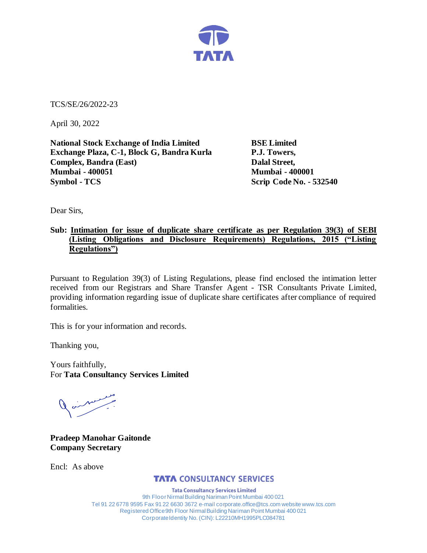

TCS/SE/26/2022-23

April 30, 2022

**National Stock Exchange of India Limited BSE Limited Exchange Plaza, C-1, Block G, Bandra Kurla P.J. Towers, Complex, Bandra (East)** Dalal Street, **Mumbai - 400051 Mumbai - 400001 Symbol - TCS Scrip Code No. - 532540** 

Dear Sirs,

## **Sub: Intimation for issue of duplicate share certificate as per Regulation 39(3) of SEBI (Listing Obligations and Disclosure Requirements) Regulations, 2015 ("Listing Regulations")**

Pursuant to Regulation 39(3) of Listing Regulations, please find enclosed the intimation letter received from our Registrars and Share Transfer Agent - TSR Consultants Private Limited, providing information regarding issue of duplicate share certificates after compliance of required formalities.

This is for your information and records.

Thanking you,

Yours faithfully, For **Tata Consultancy Services Limited**

Jaimes

**Pradeep Manohar Gaitonde Company Secretary**

Encl: As above

## **TATA CONSULTANCY SERVICES**

**Tata Consultancy Services Limited** 9th Floor Nirmal Building Nariman Point Mumbai 400 021 Tel 91 22 6778 9595 Fax 91 22 6630 3672 e-mail corporate.office@tcs.com website www.tcs.com Registered Office 9th Floor Nirmal Building Nariman Point Mumbai 400 021 Corporate Identity No. (CIN): L22210MH1995PLC084781